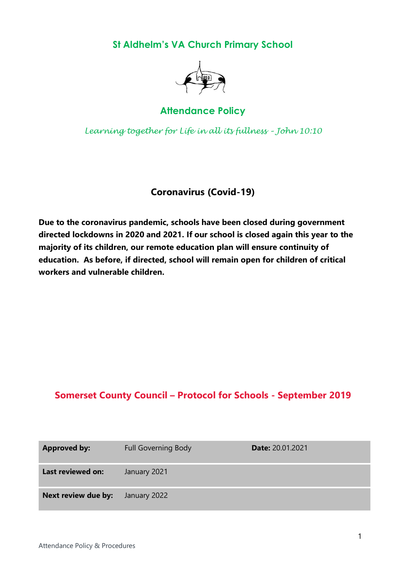**St Aldhelm's VA Church Primary School**



# **Attendance Policy**

*Learning together for Life in all its fullness – John 10:10*

# **Coronavirus (Covid-19)**

**Due to the coronavirus pandemic, schools have been closed during government directed lockdowns in 2020 and 2021. If our school is closed again this year to the majority of its children, our remote education plan will ensure continuity of education. As before, if directed, school will remain open for children of critical workers and vulnerable children.** 

# **Somerset County Council – Protocol for Schools - September 2019**

| <b>Approved by:</b> | <b>Full Governing Body</b> | <b>Date: 20.01.2021</b> |
|---------------------|----------------------------|-------------------------|
| Last reviewed on:   | January 2021               |                         |
| Next review due by: | January 2022               |                         |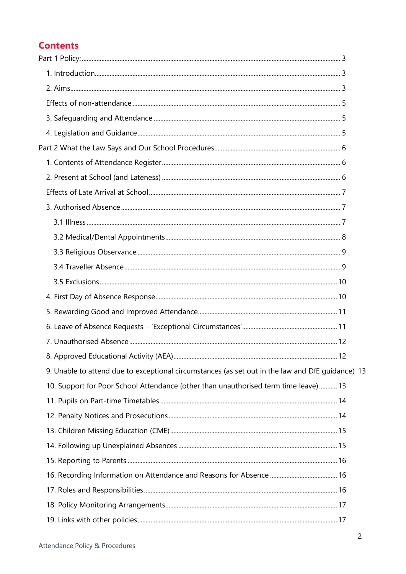# **Contents**

| 9. Unable to attend due to exceptional circumstances (as set out in the law and DfE quidance) 13 |  |
|--------------------------------------------------------------------------------------------------|--|
| 10. Support for Poor School Attendance (other than unauthorised term time leave)13               |  |
|                                                                                                  |  |
|                                                                                                  |  |
|                                                                                                  |  |
|                                                                                                  |  |
|                                                                                                  |  |
|                                                                                                  |  |
|                                                                                                  |  |
|                                                                                                  |  |
|                                                                                                  |  |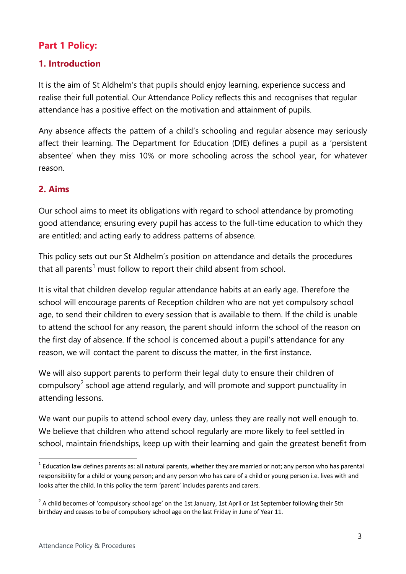# <span id="page-2-0"></span>**Part 1 Policy:**

# <span id="page-2-1"></span>**1. Introduction**

It is the aim of St Aldhelm's that pupils should enjoy learning, experience success and realise their full potential. Our Attendance Policy reflects this and recognises that regular attendance has a positive effect on the motivation and attainment of pupils.

Any absence affects the pattern of a child's schooling and regular absence may seriously affect their learning. The Department for Education (DfE) defines a pupil as a 'persistent absentee' when they miss 10% or more schooling across the school year, for whatever reason.

#### <span id="page-2-2"></span>**2. Aims**

Our school aims to meet its obligations with regard to school attendance by promoting good attendance; ensuring every pupil has access to the full-time education to which they are entitled; and acting early to address patterns of absence.

This policy sets out our St Aldhelm's position on attendance and details the procedures that all parents<sup>1</sup> must follow to report their child absent from school.

It is vital that children develop regular attendance habits at an early age. Therefore the school will encourage parents of Reception children who are not yet compulsory school age, to send their children to every session that is available to them. If the child is unable to attend the school for any reason, the parent should inform the school of the reason on the first day of absence. If the school is concerned about a pupil's attendance for any reason, we will contact the parent to discuss the matter, in the first instance.

We will also support parents to perform their legal duty to ensure their children of compulsory<sup>2</sup> school age attend regularly, and will promote and support punctuality in attending lessons.

We want our pupils to attend school every day, unless they are really not well enough to. We believe that children who attend school regularly are more likely to feel settled in school, maintain friendships, keep up with their learning and gain the greatest benefit from

**.** 

 $1$  Education law defines parents as: all natural parents, whether they are married or not; any person who has parental responsibility for a child or young person; and any person who has care of a child or young person i.e. lives with and looks after the child. In this policy the term 'parent' includes parents and carers.

 $2$  A child becomes of 'compulsory school age' on the 1st January, 1st April or 1st September following their 5th birthday and ceases to be of compulsory school age on the last Friday in June of Year 11.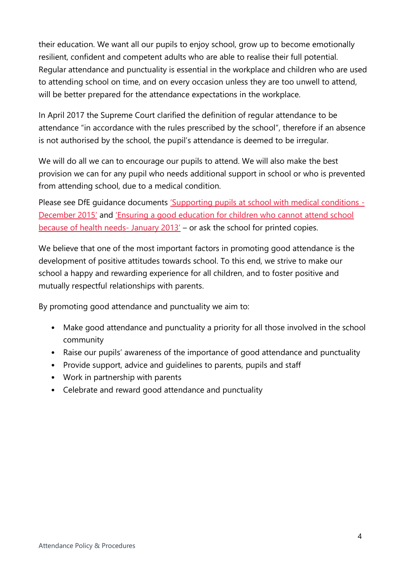their education. We want all our pupils to enjoy school, grow up to become emotionally resilient, confident and competent adults who are able to realise their full potential. Regular attendance and punctuality is essential in the workplace and children who are used to attending school on time, and on every occasion unless they are too unwell to attend, will be better prepared for the attendance expectations in the workplace.

In April 2017 the Supreme Court clarified the definition of regular attendance to be attendance "in accordance with the rules prescribed by the school", therefore if an absence is not authorised by the school, the pupil's attendance is deemed to be irregular.

We will do all we can to encourage our pupils to attend. We will also make the best provision we can for any pupil who needs additional support in school or who is prevented from attending school, due to a medical condition.

Please see DfE quidance documents ['Supporting pupils at school with medical conditions](https://www.gov.uk/government/publications/supporting-pupils-at-school-with-medical-conditions--3) -[December 2015'](https://www.gov.uk/government/publications/supporting-pupils-at-school-with-medical-conditions--3) and 'Ensuring a goo[d education for children who cannot attend school](https://www.gov.uk/government/publications/education-for-children-with-health-needs-who-cannot-attend-school)  [because of health needs-](https://www.gov.uk/government/publications/education-for-children-with-health-needs-who-cannot-attend-school) January 2013' – or ask the school for printed copies.

We believe that one of the most important factors in promoting good attendance is the development of positive attitudes towards school. To this end, we strive to make our school a happy and rewarding experience for all children, and to foster positive and mutually respectful relationships with parents.

By promoting good attendance and punctuality we aim to:

- Make good attendance and punctuality a priority for all those involved in the school community
- Raise our pupils' awareness of the importance of good attendance and punctuality
- Provide support, advice and guidelines to parents, pupils and staff
- Work in partnership with parents
- <span id="page-3-0"></span>• Celebrate and reward good attendance and punctuality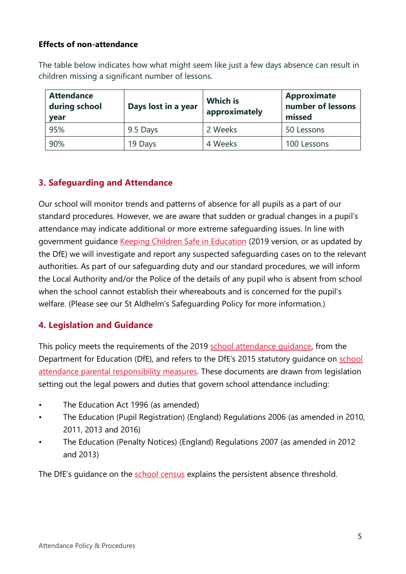## **Effects of non-attendance**

The table below indicates how what might seem like just a few days absence can result in children missing a significant number of lessons.

| <b>Attendance</b><br>during school<br>year | Days lost in a year | <b>Which is</b><br>approximately | <b>Approximate</b><br>number of lessons<br>missed |
|--------------------------------------------|---------------------|----------------------------------|---------------------------------------------------|
| 95%                                        | 9.5 Days            | 2 Weeks                          | 50 Lessons                                        |
| 90%                                        | 19 Days             | 4 Weeks                          | 100 Lessons                                       |

# <span id="page-4-0"></span>**3. Safeguarding and Attendance**

Our school will monitor trends and patterns of absence for all pupils as a part of our standard procedures. However, we are aware that sudden or gradual changes in a pupil's attendance may indicate additional or more extreme safeguarding issues. In line with government guidance [Keeping Children Safe in Education](https://www.gov.uk/government/publications/keeping-children-safe-in-education--2) (2019 version, or as updated by the DfE) we will investigate and report any suspected safeguarding cases on to the relevant authorities. As part of our safeguarding duty and our standard procedures, we will inform the Local Authority and/or the Police of the details of any pupil who is absent from school when the school cannot establish their whereabouts and is concerned for the pupil's welfare. (Please see our St Aldhelm's Safeguarding Policy for more information.)

# <span id="page-4-1"></span>**4. Legislation and Guidance**

This policy meets the requirements of the 2019 [school attendance guidance,](https://www.gov.uk/government/publications/school-attendance) from the Department for Education (DfE), and refers to the DfE's 2015 statutory quidance on school [attendance parental responsibility measures.](https://www.gov.uk/government/publications/parental-responsibility-measures-for-behaviour-and-attendance) These documents are drawn from legislation setting out the legal powers and duties that govern school attendance including:

- The Education Act 1996 (as amended)
- The Education (Pupil Registration) (England) Regulations 2006 (as amended in 2010, 2011, 2013 and 2016)
- The Education (Penalty Notices) (England) Regulations 2007 (as amended in 2012 and 2013)

The DfE's guidance on the [school census](https://www.gov.uk/government/publications/school-census-2017-to-2018-guide-for-schools-and-las) explains the persistent absence threshold.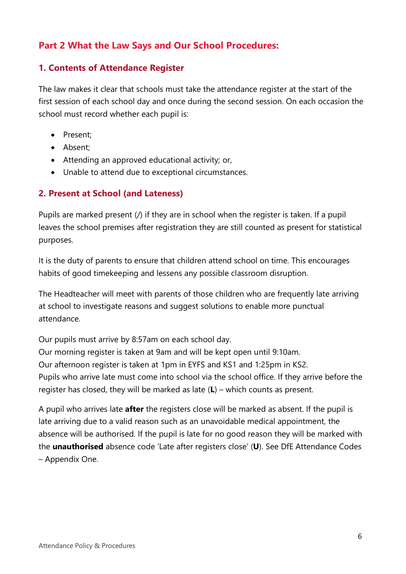# <span id="page-5-0"></span>**Part 2 What the Law Says and Our School Procedures:**

# <span id="page-5-1"></span>**1. Contents of Attendance Register**

The law makes it clear that schools must take the attendance register at the start of the first session of each school day and once during the second session. On each occasion the school must record whether each pupil is:

- Present:
- Absent:
- Attending an approved educational activity; or,
- Unable to attend due to exceptional circumstances.

# <span id="page-5-2"></span>**2. Present at School (and Lateness)**

Pupils are marked present (/) if they are in school when the register is taken. If a pupil leaves the school premises after registration they are still counted as present for statistical purposes.

It is the duty of parents to ensure that children attend school on time. This encourages habits of good timekeeping and lessens any possible classroom disruption.

The Headteacher will meet with parents of those children who are frequently late arriving at school to investigate reasons and suggest solutions to enable more punctual attendance.

Our pupils must arrive by 8:57am on each school day.

Our morning register is taken at 9am and will be kept open until 9:10am. Our afternoon register is taken at 1pm in EYFS and KS1 and 1:25pm in KS2. Pupils who arrive late must come into school via the school office. If they arrive before the register has closed, they will be marked as late (**L**) – which counts as present.

A pupil who arrives late **after** the registers close will be marked as absent. If the pupil is late arriving due to a valid reason such as an unavoidable medical appointment, the absence will be authorised. If the pupil is late for no good reason they will be marked with the **unauthorised** absence code 'Late after registers close' (**U**). See DfE Attendance Codes – Appendix One.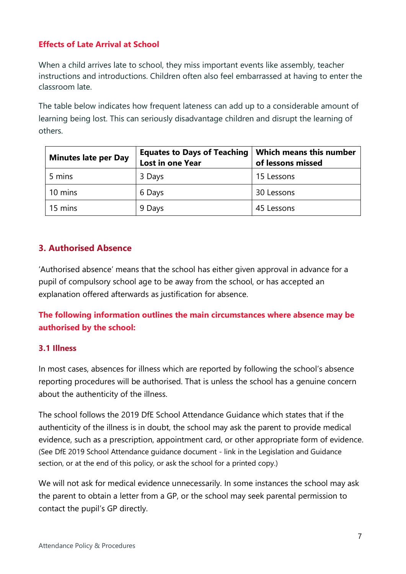# <span id="page-6-0"></span>**Effects of Late Arrival at School**

When a child arrives late to school, they miss important events like assembly, teacher instructions and introductions. Children often also feel embarrassed at having to enter the classroom late.

The table below indicates how frequent lateness can add up to a considerable amount of learning being lost. This can seriously disadvantage children and disrupt the learning of others.

| <b>Minutes late per Day</b> | <b>Equates to Days of Teaching</b><br><b>Lost in one Year</b> | <b>Which means this number</b><br>of lessons missed |
|-----------------------------|---------------------------------------------------------------|-----------------------------------------------------|
| 5 mins                      | 3 Days                                                        | 15 Lessons                                          |
| 10 mins                     | 6 Days                                                        | 30 Lessons                                          |
| 15 mins                     | 9 Days                                                        | 45 Lessons                                          |

# <span id="page-6-1"></span>**3. Authorised Absence**

'Authorised absence' means that the school has either given approval in advance for a pupil of compulsory school age to be away from the school, or has accepted an explanation offered afterwards as justification for absence.

**The following information outlines the main circumstances where absence may be authorised by the school:**

# <span id="page-6-2"></span>**3.1 Illness**

In most cases, absences for illness which are reported by following the school's absence reporting procedures will be authorised. That is unless the school has a genuine concern about the authenticity of the illness.

The school follows the 2019 DfE School Attendance Guidance which states that if the authenticity of the illness is in doubt, the school may ask the parent to provide medical evidence, such as a prescription, appointment card, or other appropriate form of evidence. (See DfE 2019 School Attendance guidance document - link in the Legislation and Guidance section, or at the end of this policy, or ask the school for a printed copy.)

We will not ask for medical evidence unnecessarily. In some instances the school may ask the parent to obtain a letter from a GP, or the school may seek parental permission to contact the pupil's GP directly.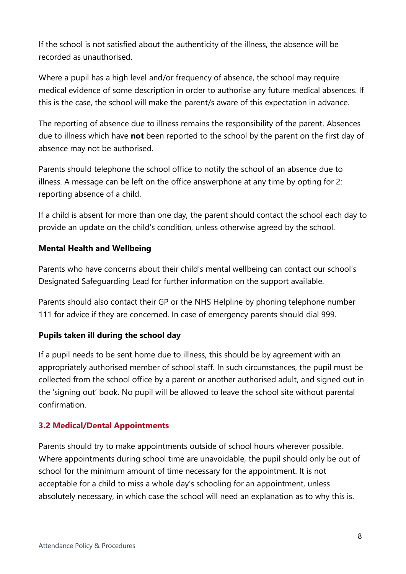If the school is not satisfied about the authenticity of the illness, the absence will be recorded as unauthorised.

Where a pupil has a high level and/or frequency of absence, the school may require medical evidence of some description in order to authorise any future medical absences. If this is the case, the school will make the parent/s aware of this expectation in advance.

The reporting of absence due to illness remains the responsibility of the parent. Absences due to illness which have **not** been reported to the school by the parent on the first day of absence may not be authorised.

Parents should telephone the school office to notify the school of an absence due to illness. A message can be left on the office answerphone at any time by opting for 2: reporting absence of a child.

If a child is absent for more than one day, the parent should contact the school each day to provide an update on the child's condition, unless otherwise agreed by the school.

#### **Mental Health and Wellbeing**

Parents who have concerns about their child's mental wellbeing can contact our school's Designated Safeguarding Lead for further information on the support available.

Parents should also contact their GP or the NHS Helpline by phoning telephone number 111 for advice if they are concerned. In case of emergency parents should dial 999.

#### **Pupils taken ill during the school day**

If a pupil needs to be sent home due to illness, this should be by agreement with an appropriately authorised member of school staff. In such circumstances, the pupil must be collected from the school office by a parent or another authorised adult, and signed out in the 'signing out' book. No pupil will be allowed to leave the school site without parental confirmation.

#### <span id="page-7-0"></span>**3.2 Medical/Dental Appointments**

Parents should try to make appointments outside of school hours wherever possible. Where appointments during school time are unavoidable, the pupil should only be out of school for the minimum amount of time necessary for the appointment. It is not acceptable for a child to miss a whole day's schooling for an appointment, unless absolutely necessary, in which case the school will need an explanation as to why this is.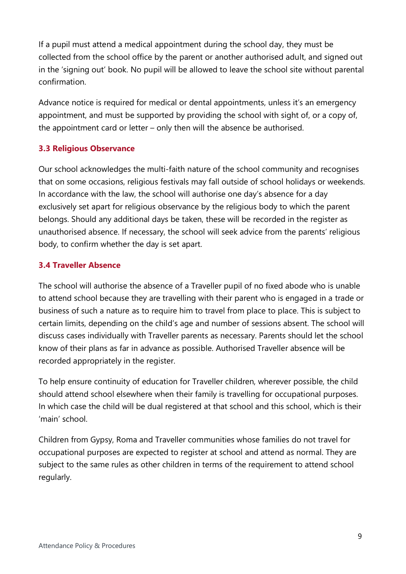If a pupil must attend a medical appointment during the school day, they must be collected from the school office by the parent or another authorised adult, and signed out in the 'signing out' book. No pupil will be allowed to leave the school site without parental confirmation.

Advance notice is required for medical or dental appointments, unless it's an emergency appointment, and must be supported by providing the school with sight of, or a copy of, the appointment card or letter – only then will the absence be authorised.

#### <span id="page-8-0"></span>**3.3 Religious Observance**

Our school acknowledges the multi-faith nature of the school community and recognises that on some occasions, religious festivals may fall outside of school holidays or weekends. In accordance with the law, the school will authorise one day's absence for a day exclusively set apart for religious observance by the religious body to which the parent belongs. Should any additional days be taken, these will be recorded in the register as unauthorised absence. If necessary, the school will seek advice from the parents' religious body, to confirm whether the day is set apart.

#### <span id="page-8-1"></span>**3.4 Traveller Absence**

The school will authorise the absence of a Traveller pupil of no fixed abode who is unable to attend school because they are travelling with their parent who is engaged in a trade or business of such a nature as to require him to travel from place to place. This is subject to certain limits, depending on the child's age and number of sessions absent. The school will discuss cases individually with Traveller parents as necessary. Parents should let the school know of their plans as far in advance as possible. Authorised Traveller absence will be recorded appropriately in the register.

To help ensure continuity of education for Traveller children, wherever possible, the child should attend school elsewhere when their family is travelling for occupational purposes. In which case the child will be dual registered at that school and this school, which is their 'main' school.

Children from Gypsy, Roma and Traveller communities whose families do not travel for occupational purposes are expected to register at school and attend as normal. They are subject to the same rules as other children in terms of the requirement to attend school regularly.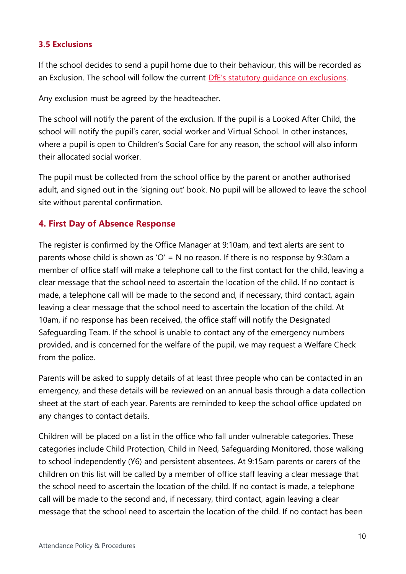#### <span id="page-9-0"></span>**3.5 Exclusions**

If the school decides to send a pupil home due to their behaviour, this will be recorded as an Exclusion. The school will follow the current DfE's statutory quidance on exclusions.

Any exclusion must be agreed by the headteacher.

The school will notify the parent of the exclusion. If the pupil is a Looked After Child, the school will notify the pupil's carer, social worker and Virtual School. In other instances, where a pupil is open to Children's Social Care for any reason, the school will also inform their allocated social worker.

The pupil must be collected from the school office by the parent or another authorised adult, and signed out in the 'signing out' book. No pupil will be allowed to leave the school site without parental confirmation.

# <span id="page-9-1"></span>**4. First Day of Absence Response**

The register is confirmed by the Office Manager at 9:10am, and text alerts are sent to parents whose child is shown as 'O' = N no reason. If there is no response by 9:30am a member of office staff will make a telephone call to the first contact for the child, leaving a clear message that the school need to ascertain the location of the child. If no contact is made, a telephone call will be made to the second and, if necessary, third contact, again leaving a clear message that the school need to ascertain the location of the child. At 10am, if no response has been received, the office staff will notify the Designated Safeguarding Team. If the school is unable to contact any of the emergency numbers provided, and is concerned for the welfare of the pupil, we may request a Welfare Check from the police.

Parents will be asked to supply details of at least three people who can be contacted in an emergency, and these details will be reviewed on an annual basis through a data collection sheet at the start of each year. Parents are reminded to keep the school office updated on any changes to contact details.

Children will be placed on a list in the office who fall under vulnerable categories. These categories include Child Protection, Child in Need, Safeguarding Monitored, those walking to school independently (Y6) and persistent absentees. At 9:15am parents or carers of the children on this list will be called by a member of office staff leaving a clear message that the school need to ascertain the location of the child. If no contact is made, a telephone call will be made to the second and, if necessary, third contact, again leaving a clear message that the school need to ascertain the location of the child. If no contact has been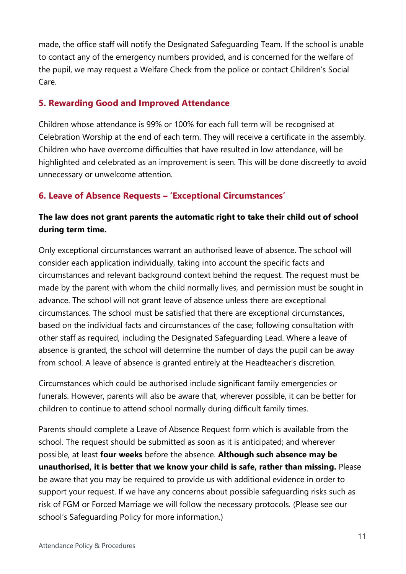made, the office staff will notify the Designated Safeguarding Team. If the school is unable to contact any of the emergency numbers provided, and is concerned for the welfare of the pupil, we may request a Welfare Check from the police or contact Children's Social Care.

#### <span id="page-10-0"></span>**5. Rewarding Good and Improved Attendance**

Children whose attendance is 99% or 100% for each full term will be recognised at Celebration Worship at the end of each term. They will receive a certificate in the assembly. Children who have overcome difficulties that have resulted in low attendance, will be highlighted and celebrated as an improvement is seen. This will be done discreetly to avoid unnecessary or unwelcome attention.

# <span id="page-10-1"></span>**6. Leave of Absence Requests – 'Exceptional Circumstances'**

# **The law does not grant parents the automatic right to take their child out of school during term time.**

Only exceptional circumstances warrant an authorised leave of absence. The school will consider each application individually, taking into account the specific facts and circumstances and relevant background context behind the request. The request must be made by the parent with whom the child normally lives, and permission must be sought in advance. The school will not grant leave of absence unless there are exceptional circumstances. The school must be satisfied that there are exceptional circumstances, based on the individual facts and circumstances of the case; following consultation with other staff as required, including the Designated Safeguarding Lead. Where a leave of absence is granted, the school will determine the number of days the pupil can be away from school. A leave of absence is granted entirely at the Headteacher's discretion.

Circumstances which could be authorised include significant family emergencies or funerals. However, parents will also be aware that, wherever possible, it can be better for children to continue to attend school normally during difficult family times.

Parents should complete a Leave of Absence Request form which is available from the school. The request should be submitted as soon as it is anticipated; and wherever possible, at least **four weeks** before the absence. **Although such absence may be unauthorised, it is better that we know your child is safe, rather than missing.** Please be aware that you may be required to provide us with additional evidence in order to support your request. If we have any concerns about possible safeguarding risks such as risk of FGM or Forced Marriage we will follow the necessary protocols. (Please see our school's Safeguarding Policy for more information.)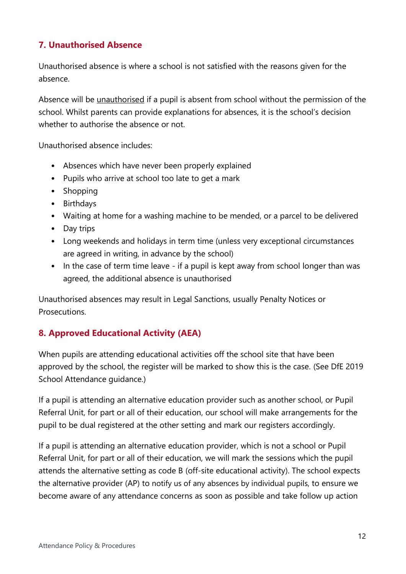# <span id="page-11-0"></span>**7. Unauthorised Absence**

Unauthorised absence is where a school is not satisfied with the reasons given for the absence.

Absence will be unauthorised if a pupil is absent from school without the permission of the school. Whilst parents can provide explanations for absences, it is the school's decision whether to authorise the absence or not.

Unauthorised absence includes:

- Absences which have never been properly explained
- Pupils who arrive at school too late to get a mark
- Shopping
- Birthdays
- Waiting at home for a washing machine to be mended, or a parcel to be delivered
- Day trips
- Long weekends and holidays in term time (unless very exceptional circumstances are agreed in writing, in advance by the school)
- In the case of term time leave if a pupil is kept away from school longer than was agreed, the additional absence is unauthorised

Unauthorised absences may result in Legal Sanctions, usually Penalty Notices or **Prosecutions** 

# <span id="page-11-1"></span>**8. Approved Educational Activity (AEA)**

When pupils are attending educational activities off the school site that have been approved by the school, the register will be marked to show this is the case. (See DfE 2019 School Attendance guidance.)

If a pupil is attending an alternative education provider such as another school, or Pupil Referral Unit, for part or all of their education, our school will make arrangements for the pupil to be dual registered at the other setting and mark our registers accordingly.

If a pupil is attending an alternative education provider, which is not a school or Pupil Referral Unit, for part or all of their education, we will mark the sessions which the pupil attends the alternative setting as code B (off-site educational activity). The school expects the alternative provider (AP) to notify us of any absences by individual pupils, to ensure we become aware of any attendance concerns as soon as possible and take follow up action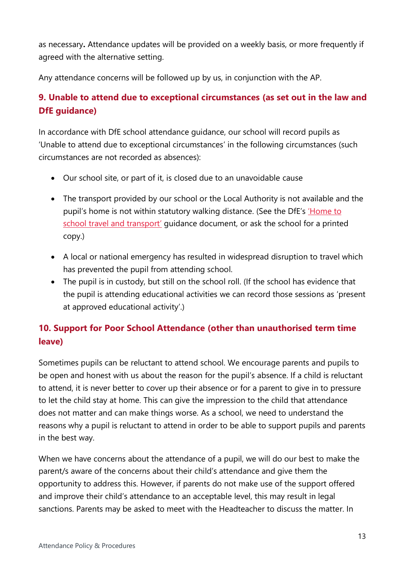as necessary**.** Attendance updates will be provided on a weekly basis, or more frequently if agreed with the alternative setting.

Any attendance concerns will be followed up by us, in conjunction with the AP.

# <span id="page-12-0"></span>**9. Unable to attend due to exceptional circumstances (as set out in the law and DfE guidance)**

In accordance with DfE school attendance guidance, our school will record pupils as 'Unable to attend due to exceptional circumstances' in the following circumstances (such circumstances are not recorded as absences):

- Our school site, or part of it, is closed due to an unavoidable cause
- The transport provided by our school or the Local Authority is not available and the pupil's home is not within statutory walking distance. (See the DfE's *Home to* [school travel and transport](https://www.gov.uk/government/publications/home-to-school-travel-and-transport-guidance)' guidance document, or ask the school for a printed copy.)
- A local or national emergency has resulted in widespread disruption to travel which has prevented the pupil from attending school.
- The pupil is in custody, but still on the school roll. (If the school has evidence that the pupil is attending educational activities we can record those sessions as 'present at approved educational activity'.)

# <span id="page-12-1"></span>**10. Support for Poor School Attendance (other than unauthorised term time leave)**

Sometimes pupils can be reluctant to attend school. We encourage parents and pupils to be open and honest with us about the reason for the pupil's absence. If a child is reluctant to attend, it is never better to cover up their absence or for a parent to give in to pressure to let the child stay at home. This can give the impression to the child that attendance does not matter and can make things worse. As a school, we need to understand the reasons why a pupil is reluctant to attend in order to be able to support pupils and parents in the best way.

When we have concerns about the attendance of a pupil, we will do our best to make the parent/s aware of the concerns about their child's attendance and give them the opportunity to address this. However, if parents do not make use of the support offered and improve their child's attendance to an acceptable level, this may result in legal sanctions. Parents may be asked to meet with the Headteacher to discuss the matter. In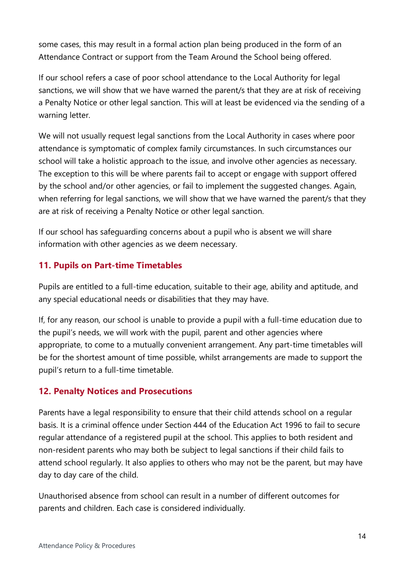some cases, this may result in a formal action plan being produced in the form of an Attendance Contract or support from the Team Around the School being offered.

If our school refers a case of poor school attendance to the Local Authority for legal sanctions, we will show that we have warned the parent/s that they are at risk of receiving a Penalty Notice or other legal sanction. This will at least be evidenced via the sending of a warning letter.

We will not usually request legal sanctions from the Local Authority in cases where poor attendance is symptomatic of complex family circumstances. In such circumstances our school will take a holistic approach to the issue, and involve other agencies as necessary. The exception to this will be where parents fail to accept or engage with support offered by the school and/or other agencies, or fail to implement the suggested changes. Again, when referring for legal sanctions, we will show that we have warned the parent/s that they are at risk of receiving a Penalty Notice or other legal sanction.

If our school has safeguarding concerns about a pupil who is absent we will share information with other agencies as we deem necessary.

# <span id="page-13-0"></span>**11. Pupils on Part-time Timetables**

Pupils are entitled to a full-time education, suitable to their age, ability and aptitude, and any special educational needs or disabilities that they may have.

If, for any reason, our school is unable to provide a pupil with a full-time education due to the pupil's needs, we will work with the pupil, parent and other agencies where appropriate, to come to a mutually convenient arrangement. Any part-time timetables will be for the shortest amount of time possible, whilst arrangements are made to support the pupil's return to a full-time timetable.

# <span id="page-13-1"></span>**12. Penalty Notices and Prosecutions**

Parents have a legal responsibility to ensure that their child attends school on a regular basis. It is a criminal offence under Section 444 of the Education Act 1996 to fail to secure regular attendance of a registered pupil at the school. This applies to both resident and non-resident parents who may both be subject to legal sanctions if their child fails to attend school regularly. It also applies to others who may not be the parent, but may have day to day care of the child.

Unauthorised absence from school can result in a number of different outcomes for parents and children. Each case is considered individually.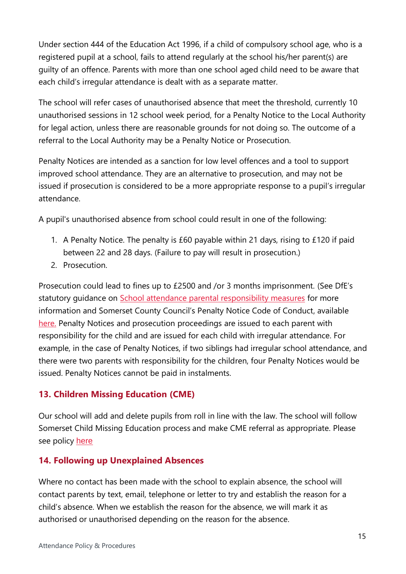Under section 444 of the Education Act 1996, if a child of compulsory school age, who is a registered pupil at a school, fails to attend regularly at the school his/her parent(s) are guilty of an offence. Parents with more than one school aged child need to be aware that each child's irregular attendance is dealt with as a separate matter.

The school will refer cases of unauthorised absence that meet the threshold, currently 10 unauthorised sessions in 12 school week period, for a Penalty Notice to the Local Authority for legal action, unless there are reasonable grounds for not doing so. The outcome of a referral to the Local Authority may be a Penalty Notice or Prosecution.

Penalty Notices are intended as a sanction for low level offences and a tool to support improved school attendance. They are an alternative to prosecution, and may not be issued if prosecution is considered to be a more appropriate response to a pupil's irregular attendance.

A pupil's unauthorised absence from school could result in one of the following:

- 1. A Penalty Notice. The penalty is £60 payable within 21 days, rising to £120 if paid between 22 and 28 days. (Failure to pay will result in prosecution.)
- 2. Prosecution.

Prosecution could lead to fines up to £2500 and /or 3 months imprisonment. (See DfE's statutory guidance on [School attendance parental responsibility measures](https://www.gov.uk/government/publications/parental-responsibility-measures-for-behaviour-and-attendance) for more information and Somerset County Council's Penalty Notice Code of Conduct, available [here.](http://wwwold.somerset.gov.uk/EasySiteWeb/GatewayLink.aspx?alId=69246) Penalty Notices and prosecution proceedings are issued to each parent with responsibility for the child and are issued for each child with irregular attendance. For example, in the case of Penalty Notices, if two siblings had irregular school attendance, and there were two parents with responsibility for the children, four Penalty Notices would be issued. Penalty Notices cannot be paid in instalments.

# <span id="page-14-0"></span>**13. Children Missing Education (CME)**

Our school will add and delete pupils from roll in line with the law. The school will follow Somerset Child Missing Education process and make CME referral as appropriate. Please see policy [here](http://www.somerset.gov.uk/EasySiteWeb/GatewayLink.aspx?alId=125707)

# <span id="page-14-1"></span>**14. Following up Unexplained Absences**

Where no contact has been made with the school to explain absence, the school will contact parents by text, email, telephone or letter to try and establish the reason for a child's absence. When we establish the reason for the absence, we will mark it as authorised or unauthorised depending on the reason for the absence.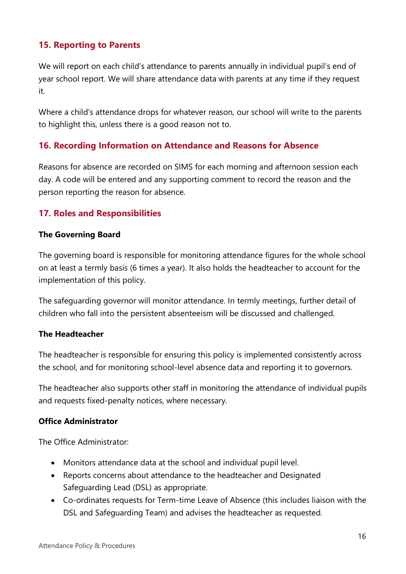# <span id="page-15-0"></span>**15. Reporting to Parents**

We will report on each child's attendance to parents annually in individual pupil's end of year school report. We will share attendance data with parents at any time if they request it.

Where a child's attendance drops for whatever reason, our school will write to the parents to highlight this, unless there is a good reason not to.

#### <span id="page-15-1"></span>**16. Recording Information on Attendance and Reasons for Absence**

Reasons for absence are recorded on SIMS for each morning and afternoon session each day. A code will be entered and any supporting comment to record the reason and the person reporting the reason for absence.

#### <span id="page-15-2"></span>**17. Roles and Responsibilities**

#### **The Governing Board**

The governing board is responsible for monitoring attendance figures for the whole school on at least a termly basis (6 times a year). It also holds the headteacher to account for the implementation of this policy.

The safeguarding governor will monitor attendance. In termly meetings, further detail of children who fall into the persistent absenteeism will be discussed and challenged.

#### **The Headteacher**

The headteacher is responsible for ensuring this policy is implemented consistently across the school, and for monitoring school-level absence data and reporting it to governors.

The headteacher also supports other staff in monitoring the attendance of individual pupils and requests fixed-penalty notices, where necessary.

#### **Office Administrator**

The Office Administrator:

- Monitors attendance data at the school and individual pupil level.
- Reports concerns about attendance to the headteacher and Designated Safeguarding Lead (DSL) as appropriate.
- Co-ordinates requests for Term-time Leave of Absence (this includes liaison with the DSL and Safeguarding Team) and advises the headteacher as requested.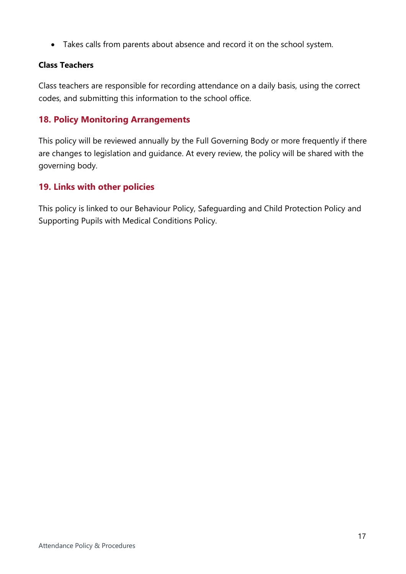Takes calls from parents about absence and record it on the school system.

# **Class Teachers**

Class teachers are responsible for recording attendance on a daily basis, using the correct codes, and submitting this information to the school office.

# <span id="page-16-0"></span>**18. Policy Monitoring Arrangements**

This policy will be reviewed annually by the Full Governing Body or more frequently if there are changes to legislation and guidance. At every review, the policy will be shared with the governing body.

# <span id="page-16-1"></span>**19. Links with other policies**

This policy is linked to our Behaviour Policy, Safeguarding and Child Protection Policy and Supporting Pupils with Medical Conditions Policy.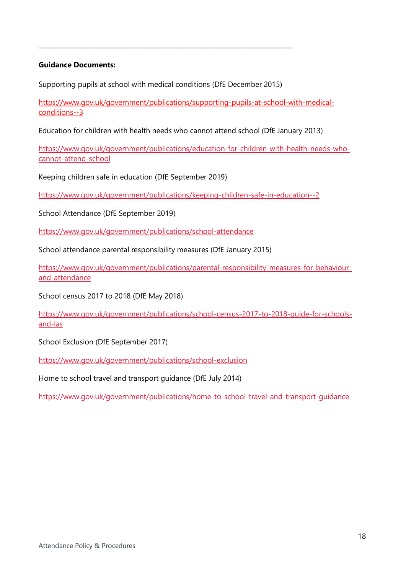#### **Guidance Documents:**

Supporting pupils at school with medical conditions (DfE December 2015)

\_\_\_\_\_\_\_\_\_\_\_\_\_\_\_\_\_\_\_\_\_\_\_\_\_\_\_\_\_\_\_\_\_\_\_\_\_\_\_\_\_\_\_\_\_\_\_\_\_\_\_\_\_\_\_\_\_\_\_\_\_\_\_\_\_\_\_\_\_\_\_\_\_\_\_

[https://www.gov.uk/government/publications/supporting-pupils-at-school-with-medical](https://www.gov.uk/government/publications/supporting-pupils-at-school-with-medical-conditions--3)[conditions--3](https://www.gov.uk/government/publications/supporting-pupils-at-school-with-medical-conditions--3)

Education for children with health needs who cannot attend school (DfE January 2013)

[https://www.gov.uk/government/publications/education-for-children-with-health-needs-who](https://www.gov.uk/government/publications/education-for-children-with-health-needs-who-cannot-attend-school)[cannot-attend-school](https://www.gov.uk/government/publications/education-for-children-with-health-needs-who-cannot-attend-school)

Keeping children safe in education (DfE September 2019)

<https://www.gov.uk/government/publications/keeping-children-safe-in-education--2>

School Attendance (DfE September 2019)

<https://www.gov.uk/government/publications/school-attendance>

School attendance parental responsibility measures (DfE January 2015)

[https://www.gov.uk/government/publications/parental-responsibility-measures-for-behaviour](https://www.gov.uk/government/publications/parental-responsibility-measures-for-behaviour-and-attendance)[and-attendance](https://www.gov.uk/government/publications/parental-responsibility-measures-for-behaviour-and-attendance)

School census 2017 to 2018 (DfE May 2018)

[https://www.gov.uk/government/publications/school-census-2017-to-2018-guide-for-schools](https://www.gov.uk/government/publications/school-census-2017-to-2018-guide-for-schools-and-las)[and-las](https://www.gov.uk/government/publications/school-census-2017-to-2018-guide-for-schools-and-las)

School Exclusion (DfE September 2017)

<https://www.gov.uk/government/publications/school-exclusion>

Home to school travel and transport guidance (DfE July 2014)

<https://www.gov.uk/government/publications/home-to-school-travel-and-transport-guidance>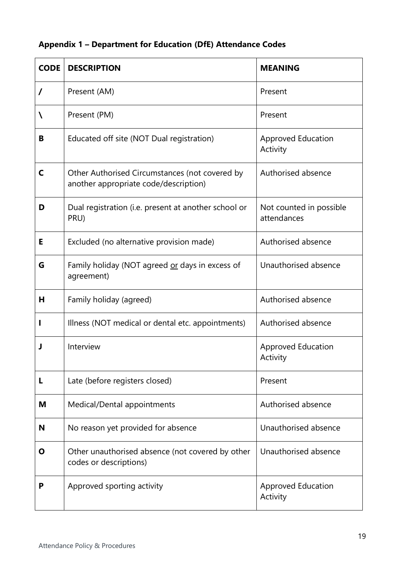| <b>Appendix 1 - Department for Education (DfE) Attendance Codes</b> |  |  |  |
|---------------------------------------------------------------------|--|--|--|
|---------------------------------------------------------------------|--|--|--|

| <b>CODE</b>  | <b>DESCRIPTION</b>                                                                      | <b>MEANING</b>                         |
|--------------|-----------------------------------------------------------------------------------------|----------------------------------------|
| $\prime$     | Present (AM)                                                                            | Present                                |
| N            | Present (PM)                                                                            | Present                                |
| В            | Educated off site (NOT Dual registration)                                               | <b>Approved Education</b><br>Activity  |
| $\mathsf{C}$ | Other Authorised Circumstances (not covered by<br>another appropriate code/description) | Authorised absence                     |
| D            | Dual registration (i.e. present at another school or<br>PRU)                            | Not counted in possible<br>attendances |
| Е            | Excluded (no alternative provision made)                                                | Authorised absence                     |
| G            | Family holiday (NOT agreed or days in excess of<br>agreement)                           | Unauthorised absence                   |
| н            | Family holiday (agreed)                                                                 | Authorised absence                     |
|              | Illness (NOT medical or dental etc. appointments)                                       | Authorised absence                     |
| J            | Interview                                                                               | <b>Approved Education</b><br>Activity  |
| L            | Late (before registers closed)                                                          | Present                                |
| M            | Medical/Dental appointments                                                             | Authorised absence                     |
| N            | No reason yet provided for absence                                                      | Unauthorised absence                   |
| Ο            | Other unauthorised absence (not covered by other<br>codes or descriptions)              | Unauthorised absence                   |
| P            | Approved sporting activity                                                              | <b>Approved Education</b><br>Activity  |